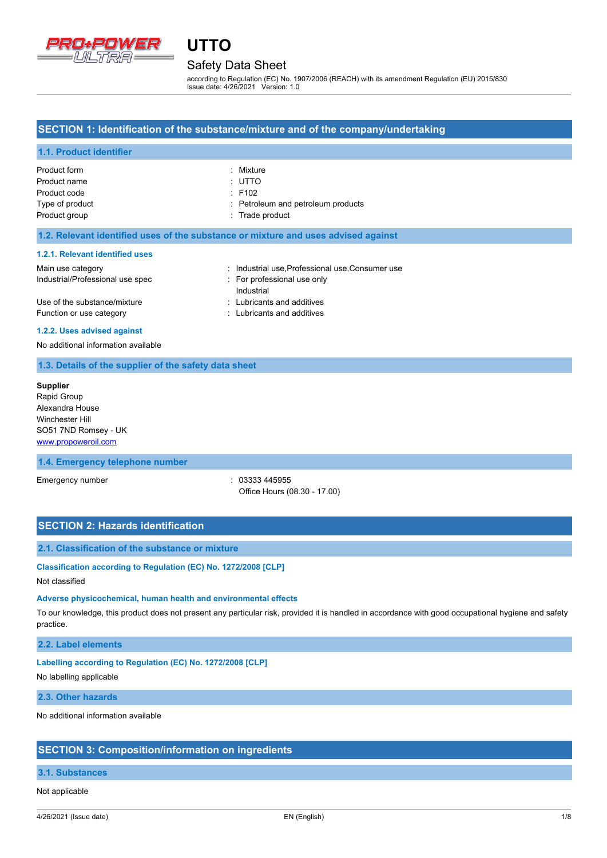

## Safety Data Sheet

**UTTO**

according to Regulation (EC) No. 1907/2006 (REACH) with its amendment Regulation (EU) 2015/830 Issue date: 4/26/2021 Version: 1.0

### **SECTION 1: Identification of the substance/mixture and of the company/undertaking**

### **1.1. Product identifier**

| Product form    | : Mixture                          |
|-----------------|------------------------------------|
| Product name    | : UTTO                             |
| Product code    | $\div$ F102                        |
| Type of product | : Petroleum and petroleum products |
| Product group   | : Trade product                    |

### **1.2. Relevant identified uses of the substance or mixture and uses advised against**

#### **1.2.1. Relevant identified uses**

| Main use category                | : Industrial use, Professional use, Consumer use |
|----------------------------------|--------------------------------------------------|
| Industrial/Professional use spec | : For professional use only                      |
|                                  | Industrial                                       |
| Use of the substance/mixture     | : Lubricants and additives                       |
| Function or use category         | : Lubricants and additives                       |

#### **1.2.2. Uses advised against**

No additional information available

### **1.3. Details of the supplier of the safety data sheet**

**Supplier** Rapid Group Alexandra House Winchester Hill SO51 7ND Romsey - UK <www.propoweroil.com>

### **1.4. Emergency telephone number**

Emergency number : 03333 445955 Office Hours (08.30 - 17.00)

### **SECTION 2: Hazards identification**

### **2.1. Classification of the substance or mixture**

**Classification according to Regulation (EC) No. 1272/2008 [CLP]**

### Not classified

#### **Adverse physicochemical, human health and environmental effects**

To our knowledge, this product does not present any particular risk, provided it is handled in accordance with good occupational hygiene and safety practice.

### **2.2. Label elements**

### **Labelling according to Regulation (EC) No. 1272/2008 [CLP]**

No labelling applicable

### **2.3. Other hazards**

No additional information available

### **SECTION 3: Composition/information on ingredients**

### **3.1. Substances**

Not applicable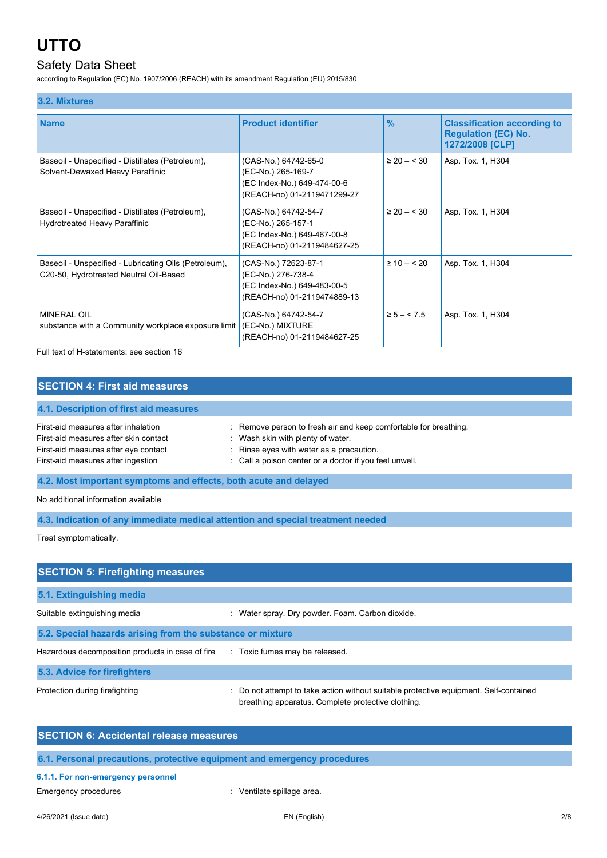### Safety Data Sheet

according to Regulation (EC) No. 1907/2006 (REACH) with its amendment Regulation (EU) 2015/830

| 3.2. Mixtures                                                                                   |                                                                                                          |                 |                                                                                     |
|-------------------------------------------------------------------------------------------------|----------------------------------------------------------------------------------------------------------|-----------------|-------------------------------------------------------------------------------------|
| <b>Name</b>                                                                                     | <b>Product identifier</b>                                                                                | $\frac{9}{6}$   | <b>Classification according to</b><br><b>Regulation (EC) No.</b><br>1272/2008 [CLP] |
| Baseoil - Unspecified - Distillates (Petroleum),<br>Solvent-Dewaxed Heavy Paraffinic            | (CAS-No.) 64742-65-0<br>(EC-No.) 265-169-7<br>(EC Index-No.) 649-474-00-6<br>(REACH-no) 01-2119471299-27 | $\geq 20 - 530$ | Asp. Tox. 1, H304                                                                   |
| Baseoil - Unspecified - Distillates (Petroleum),<br>Hydrotreated Heavy Paraffinic               | (CAS-No.) 64742-54-7<br>(EC-No.) 265-157-1<br>(EC Index-No.) 649-467-00-8<br>(REACH-no) 01-2119484627-25 | $\geq 20 - 530$ | Asp. Tox. 1, H304                                                                   |
| Baseoil - Unspecified - Lubricating Oils (Petroleum),<br>C20-50, Hydrotreated Neutral Oil-Based | (CAS-No.) 72623-87-1<br>(EC-No.) 276-738-4<br>(EC Index-No.) 649-483-00-5<br>(REACH-no) 01-2119474889-13 | $\geq 10 - 520$ | Asp. Tox. 1, H304                                                                   |
| MINERAL OIL<br>substance with a Community workplace exposure limit                              | (CAS-No.) 64742-54-7<br>(EC-No.) MIXTURE<br>(REACH-no) 01-2119484627-25                                  | $\ge 5 - 5.5$   | Asp. Tox. 1, H304                                                                   |

Full text of H-statements: see section 16

### **SECTION 4: First aid measures**

### **4.1. Description of first aid measures**

| First-aid measures after inhalation<br>First-aid measures after skin contact | : Remove person to fresh air and keep comfortable for breathing.<br>Wash skin with plenty of water. |
|------------------------------------------------------------------------------|-----------------------------------------------------------------------------------------------------|
| First-aid measures after eye contact                                         | $\therefore$ Rinse eyes with water as a precaution.                                                 |
| First-aid measures after ingestion                                           | : Call a poison center or a doctor if you feel unwell.                                              |
|                                                                              |                                                                                                     |

**4.2. Most important symptoms and effects, both acute and delayed**

No additional information available

**4.3. Indication of any immediate medical attention and special treatment needed**

Treat symptomatically.

| <b>SECTION 5: Firefighting measures</b>                    |                                                                                                                                           |  |  |
|------------------------------------------------------------|-------------------------------------------------------------------------------------------------------------------------------------------|--|--|
| 5.1. Extinguishing media                                   |                                                                                                                                           |  |  |
| Suitable extinguishing media                               | : Water spray. Dry powder. Foam. Carbon dioxide.                                                                                          |  |  |
| 5.2. Special hazards arising from the substance or mixture |                                                                                                                                           |  |  |
| Hazardous decomposition products in case of fire           | : Toxic fumes may be released.                                                                                                            |  |  |
| 5.3. Advice for firefighters                               |                                                                                                                                           |  |  |
| Protection during firefighting                             | Do not attempt to take action without suitable protective equipment. Self-contained<br>breathing apparatus. Complete protective clothing. |  |  |

| <b>SECTION 6: Accidental release measures</b>                            |
|--------------------------------------------------------------------------|
|                                                                          |
| 6.1. Personal precautions, protective equipment and emergency procedures |

### **6.1.1. For non-emergency personnel**

Emergency procedures **in the entity of the Control** entering the Ventilate spillage area.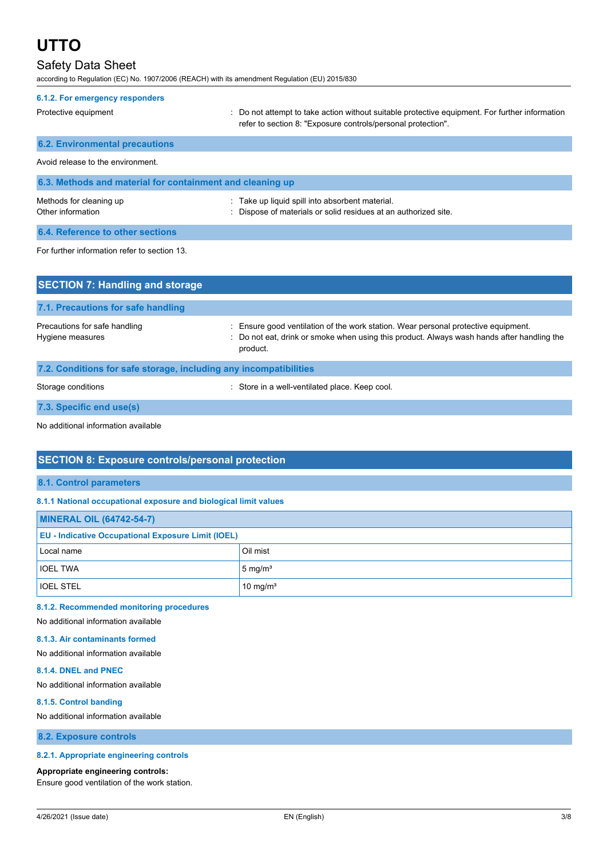### Safety Data Sheet

according to Regulation (EC) No. 1907/2006 (REACH) with its amendment Regulation (EU) 2015/830

| 6.1.2. For emergency responders                           |                                                                                                                                                                |  |  |
|-----------------------------------------------------------|----------------------------------------------------------------------------------------------------------------------------------------------------------------|--|--|
| Protective equipment                                      | : Do not attempt to take action without suitable protective equipment. For further information<br>refer to section 8: "Exposure controls/personal protection". |  |  |
| <b>6.2. Environmental precautions</b>                     |                                                                                                                                                                |  |  |
| Avoid release to the environment.                         |                                                                                                                                                                |  |  |
| 6.3. Methods and material for containment and cleaning up |                                                                                                                                                                |  |  |
| Methods for cleaning up<br>Other information              | . Take up liquid spill into absorbent material.<br>Dispose of materials or solid residues at an authorized site.                                               |  |  |
| 6.4. Reference to other sections                          |                                                                                                                                                                |  |  |
| For further information refer to section 13.              |                                                                                                                                                                |  |  |
| <b>SECTION 7: Handling and storage</b>                    |                                                                                                                                                                |  |  |

| 7.1. Precautions for safe handling                                |                                                                                                                                                                                              |
|-------------------------------------------------------------------|----------------------------------------------------------------------------------------------------------------------------------------------------------------------------------------------|
| Precautions for safe handling<br>Hygiene measures                 | : Ensure good ventilation of the work station. Wear personal protective equipment.<br>: Do not eat, drink or smoke when using this product. Always wash hands after handling the<br>product. |
| 7.2. Conditions for safe storage, including any incompatibilities |                                                                                                                                                                                              |

Storage conditions **Storage conditions** : Store in a well-ventilated place. Keep cool.

**7.3. Specific end use(s)**

No additional information available

### **SECTION 8: Exposure controls/personal protection**

### **8.1. Control parameters**

### **8.1.1 National occupational exposure and biological limit values**

| <b>MINERAL OIL (64742-54-7)</b>                           |                      |  |
|-----------------------------------------------------------|----------------------|--|
| <b>EU - Indicative Occupational Exposure Limit (IOEL)</b> |                      |  |
| Local name                                                | Oil mist             |  |
| <b>IOEL TWA</b>                                           | $5 \text{ mg/m}^3$   |  |
| <b>IOEL STEL</b>                                          | 10 mg/m <sup>3</sup> |  |

### **8.1.2. Recommended monitoring procedures**

### No additional information available

### **8.1.3. Air contaminants formed**

No additional information available

### **8.1.4. DNEL and PNEC**

No additional information available

#### **8.1.5. Control banding**

No additional information available

**8.2. Exposure controls**

### **8.2.1. Appropriate engineering controls**

#### **Appropriate engineering controls:**

Ensure good ventilation of the work station.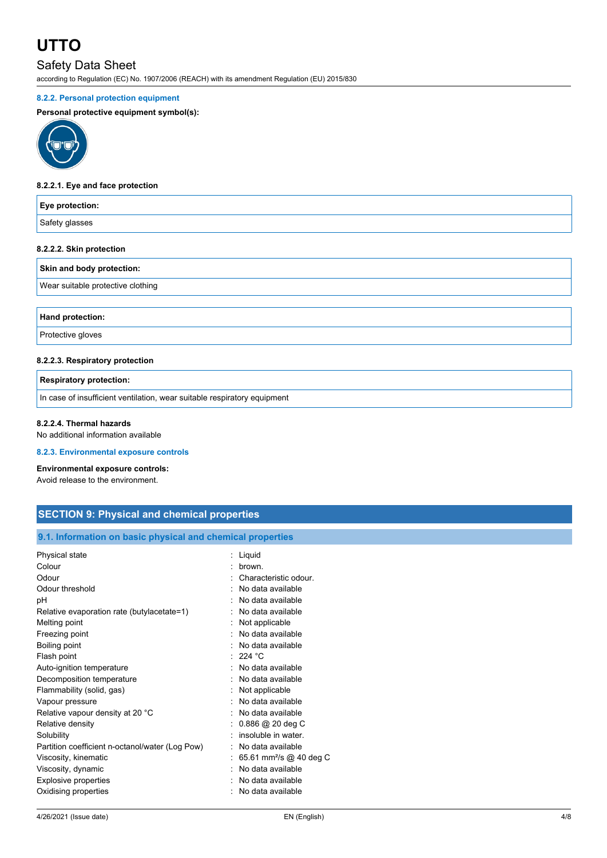### Safety Data Sheet

according to Regulation (EC) No. 1907/2006 (REACH) with its amendment Regulation (EU) 2015/830

### **8.2.2. Personal protection equipment**

### **Personal protective equipment symbol(s):**



### **8.2.2.1. Eye and face protection**

| Eye protection:                   |
|-----------------------------------|
| Safety glasses                    |
| 8.2.2.2. Skin protection          |
| Skin and body protection:         |
| Wear suitable protective clothing |

**Hand protection:**

Protective gloves

### **8.2.2.3. Respiratory protection**

**Respiratory protection:**

In case of insufficient ventilation, wear suitable respiratory equipment

#### **8.2.2.4. Thermal hazards**

No additional information available

### **8.2.3. Environmental exposure controls**

#### **Environmental exposure controls:**

Avoid release to the environment.

### **SECTION 9: Physical and chemical properties**

### **9.1. Information on basic physical and chemical properties**

| Physical state                                  | Liquid                              |
|-------------------------------------------------|-------------------------------------|
| Colour                                          | brown.                              |
| Odour                                           | Characteristic odour.               |
| Odour threshold                                 | No data available                   |
| pН                                              | No data available                   |
| Relative evaporation rate (butylacetate=1)      | No data available                   |
| Melting point                                   | Not applicable                      |
| Freezing point                                  | No data available                   |
| Boiling point                                   | No data available                   |
| Flash point                                     | 224 $^{\circ}$ C                    |
| Auto-ignition temperature                       | No data available                   |
| Decomposition temperature                       | No data available                   |
| Flammability (solid, gas)                       | Not applicable                      |
| Vapour pressure                                 | No data available                   |
| Relative vapour density at 20 °C                | No data available                   |
| Relative density                                | $0.886$ @ 20 deg C                  |
| Solubility                                      | insoluble in water.                 |
| Partition coefficient n-octanol/water (Log Pow) | No data available                   |
| Viscosity, kinematic                            | 65.61 mm <sup>2</sup> /s @ 40 deg C |
| Viscosity, dynamic                              | No data available                   |
| Explosive properties                            | No data available                   |
| Oxidising properties                            | No data available                   |
|                                                 |                                     |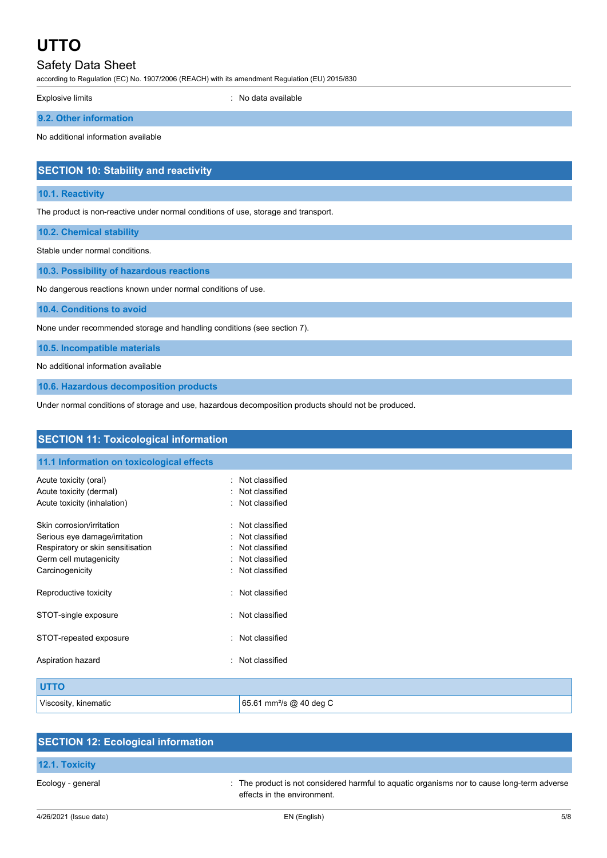### Safety Data Sheet

according to Regulation (EC) No. 1907/2006 (REACH) with its amendment Regulation (EU) 2015/830

Explosive limits **Explosive limits Explosive limits Explosive limits Explosive limits EXPLOSIVE 2018** 

**9.2. Other information**

No additional information available

### **SECTION 10: Stability and reactivity**

### **10.1. Reactivity**

The product is non-reactive under normal conditions of use, storage and transport.

**10.2. Chemical stability**

Stable under normal conditions.

**10.3. Possibility of hazardous reactions**

No dangerous reactions known under normal conditions of use.

**10.4. Conditions to avoid**

None under recommended storage and handling conditions (see section 7).

**10.5. Incompatible materials**

No additional information available

**10.6. Hazardous decomposition products**

Under normal conditions of storage and use, hazardous decomposition products should not be produced.

| <b>SECTION 11: Toxicological information</b>                       |                                      |  |
|--------------------------------------------------------------------|--------------------------------------|--|
| 11.1 Information on toxicological effects                          |                                      |  |
| Acute toxicity (oral)<br>Acute toxicity (dermal)                   | : Not classified<br>Not classified   |  |
| Acute toxicity (inhalation)                                        | : Not classified                     |  |
| Skin corrosion/irritation                                          | : Not classified                     |  |
| Serious eye damage/irritation<br>Respiratory or skin sensitisation | : Not classified<br>: Not classified |  |
| Germ cell mutagenicity                                             | : Not classified                     |  |
| Carcinogenicity                                                    | : Not classified                     |  |
| Reproductive toxicity                                              | : Not classified                     |  |
| STOT-single exposure                                               | Not classified<br>$\bullet$ .        |  |
| STOT-repeated exposure                                             | Not classified<br>$\bullet$          |  |
| Aspiration hazard                                                  | Not classified<br>۰.                 |  |
| <b>UTTO</b>                                                        |                                      |  |
| Viscosity, kinematic                                               | 65.61 mm <sup>2</sup> /s @ 40 deg C  |  |

| <b>SECTION 12: Ecological information</b> |                                                                                                                            |
|-------------------------------------------|----------------------------------------------------------------------------------------------------------------------------|
| 12.1. Toxicity                            |                                                                                                                            |
| Ecology - general                         | : The product is not considered harmful to aquatic organisms nor to cause long-term adverse<br>effects in the environment. |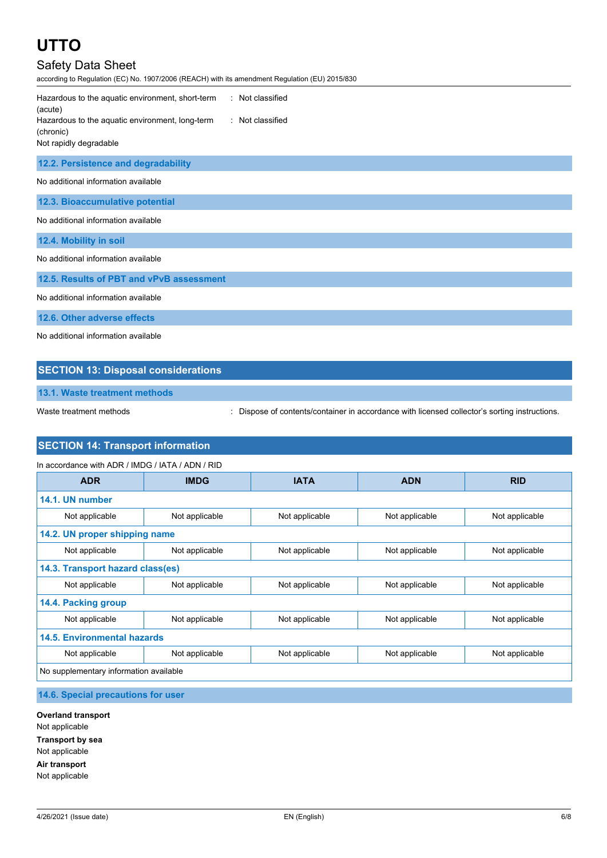## Safety Data Sheet

according to Regulation (EC) No. 1907/2006 (REACH) with its amendment Regulation (EU) 2015/830

| Hazardous to the aquatic environment, short-term<br>: Not classified<br>(acute)                            |
|------------------------------------------------------------------------------------------------------------|
| Hazardous to the aquatic environment, long-term<br>: Not classified<br>(chronic)<br>Not rapidly degradable |
|                                                                                                            |
| 12.2. Persistence and degradability                                                                        |
| No additional information available                                                                        |
| 12.3. Bioaccumulative potential                                                                            |
| No additional information available                                                                        |
| 12.4. Mobility in soil                                                                                     |
| No additional information available                                                                        |
| 12.5. Results of PBT and vPvB assessment                                                                   |
| No additional information available                                                                        |
| 12.6. Other adverse effects                                                                                |

No additional information available

### **SECTION 13: Disposal considerations**

**13.1. Waste treatment methods**

Waste treatment methods : Dispose of contents/container in accordance with licensed collector's sorting instructions.

### **SECTION 14: Transport information**

| In accordance with ADR / IMDG / IATA / ADN / RID |                |                |                |                |
|--------------------------------------------------|----------------|----------------|----------------|----------------|
| <b>ADR</b>                                       | <b>IMDG</b>    | <b>IATA</b>    | <b>ADN</b>     | <b>RID</b>     |
| 14.1. UN number                                  |                |                |                |                |
| Not applicable                                   | Not applicable | Not applicable | Not applicable | Not applicable |
| 14.2. UN proper shipping name                    |                |                |                |                |
| Not applicable                                   | Not applicable | Not applicable | Not applicable | Not applicable |
| 14.3. Transport hazard class(es)                 |                |                |                |                |
| Not applicable                                   | Not applicable | Not applicable | Not applicable | Not applicable |
| 14.4. Packing group                              |                |                |                |                |
| Not applicable                                   | Not applicable | Not applicable | Not applicable | Not applicable |
| <b>14.5. Environmental hazards</b>               |                |                |                |                |
| Not applicable                                   | Not applicable | Not applicable | Not applicable | Not applicable |
| No supplementary information available           |                |                |                |                |

### **14.6. Special precautions for user**

**Overland transport** Not applicable **Transport by sea** Not applicable **Air transport** Not applicable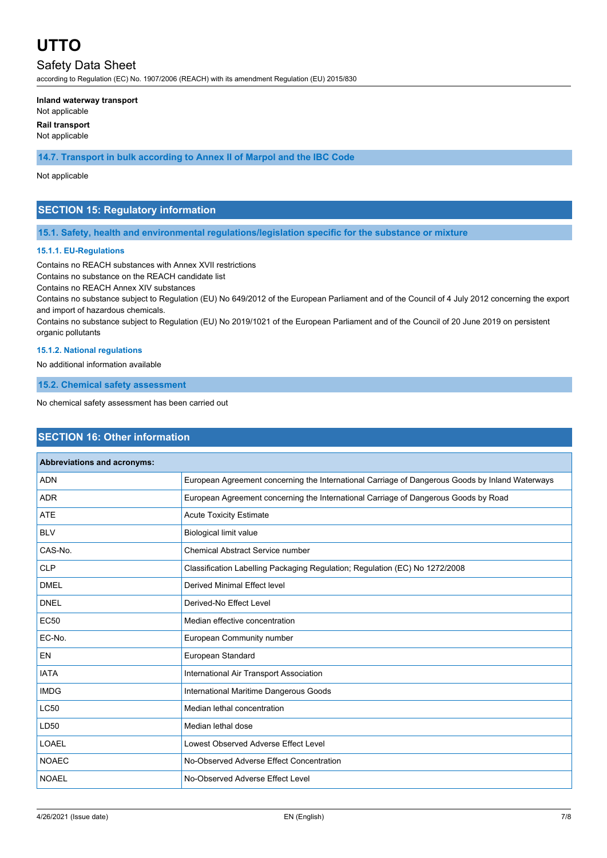### Safety Data Sheet

according to Regulation (EC) No. 1907/2006 (REACH) with its amendment Regulation (EU) 2015/830

#### **Inland waterway transport**

Not applicable

**Rail transport**

Not applicable

**14.7. Transport in bulk according to Annex II of Marpol and the IBC Code**

### Not applicable

### **SECTION 15: Regulatory information**

### **15.1. Safety, health and environmental regulations/legislation specific for the substance or mixture**

### **15.1.1. EU-Regulations**

Contains no REACH substances with Annex XVII restrictions

Contains no substance on the REACH candidate list

Contains no REACH Annex XIV substances

Contains no substance subject to Regulation (EU) No 649/2012 of the European Parliament and of the Council of 4 July 2012 concerning the export and import of hazardous chemicals.

Contains no substance subject to Regulation (EU) No 2019/1021 of the European Parliament and of the Council of 20 June 2019 on persistent organic pollutants

### **15.1.2. National regulations**

No additional information available

**15.2. Chemical safety assessment**

No chemical safety assessment has been carried out

### **SECTION 16: Other information**

| Abbreviations and acronyms: |                                                                                                 |
|-----------------------------|-------------------------------------------------------------------------------------------------|
| <b>ADN</b>                  | European Agreement concerning the International Carriage of Dangerous Goods by Inland Waterways |
| <b>ADR</b>                  | European Agreement concerning the International Carriage of Dangerous Goods by Road             |
| <b>ATE</b>                  | <b>Acute Toxicity Estimate</b>                                                                  |
| <b>BLV</b>                  | <b>Biological limit value</b>                                                                   |
| CAS-No.                     | <b>Chemical Abstract Service number</b>                                                         |
| <b>CLP</b>                  | Classification Labelling Packaging Regulation; Regulation (EC) No 1272/2008                     |
| <b>DMEL</b>                 | Derived Minimal Effect level                                                                    |
| <b>DNEL</b>                 | Derived-No Effect Level                                                                         |
| <b>EC50</b>                 | Median effective concentration                                                                  |
| EC-No.                      | European Community number                                                                       |
| <b>EN</b>                   | European Standard                                                                               |
| <b>IATA</b>                 | International Air Transport Association                                                         |
| <b>IMDG</b>                 | International Maritime Dangerous Goods                                                          |
| <b>LC50</b>                 | Median lethal concentration                                                                     |
| LD50                        | Median lethal dose                                                                              |
| LOAEL                       | Lowest Observed Adverse Effect Level                                                            |
| <b>NOAEC</b>                | No-Observed Adverse Effect Concentration                                                        |
| <b>NOAEL</b>                | No-Observed Adverse Effect Level                                                                |